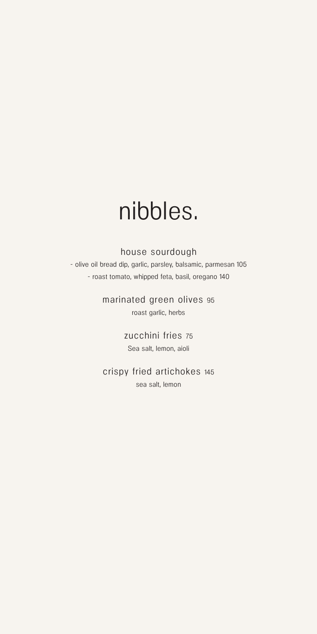## nibbles.

#### house sourdough

- olive oil bread dip, garlic, parsley, balsamic, parmesan 105 - roast tomato, whipped feta, basil, oregano 140

> marinated green olives 95 roast garlic, herbs

> > zucchini fries 75 Sea salt, lemon, aioli

crispy fried artichokes 145 sea salt, lemon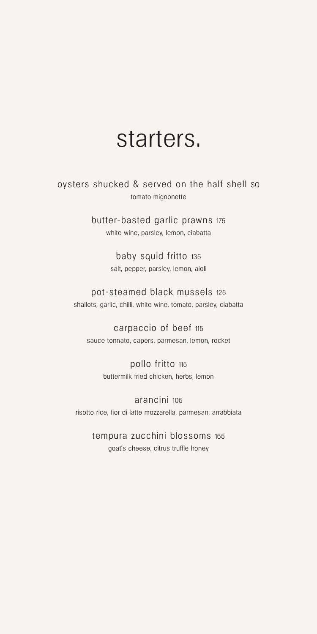### starters.

oysters shucked & served on the half shell SQ tomato mignonette

> butter-basted garlic prawns 175 white wine, parsley, lemon, ciabatta

> > baby squid fritto 135 salt, pepper, parsley, lemon, aioli

pot-steamed black mussels 125 shallots, garlic, chilli, white wine, tomato, parsley, ciabatta

carpaccio of beef 115 sauce tonnato, capers, parmesan, lemon, rocket

> pollo fritto 115 buttermilk fried chicken, herbs, lemon

arancini 105 risotto rice, fior di latte mozzarella, parmesan, arrabbiata

tempura zucchini blossoms 165 goat's cheese, citrus truffle honey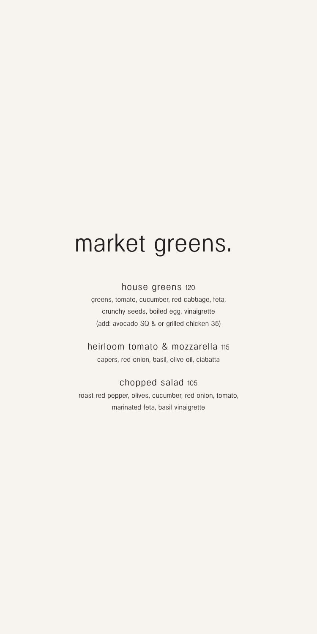# market greens.

#### house greens 120

greens, tomato, cucumber, red cabbage, feta, crunchy seeds, boiled egg, vinaigrette (add: avocado SQ & or grilled chicken 35)

heirloom tomato & mozzarella 115 capers, red onion, basil, olive oil, ciabatta

#### chopped salad 105

roast red pepper, olives, cucumber, red onion, tomato, marinated feta, basil vinaigrette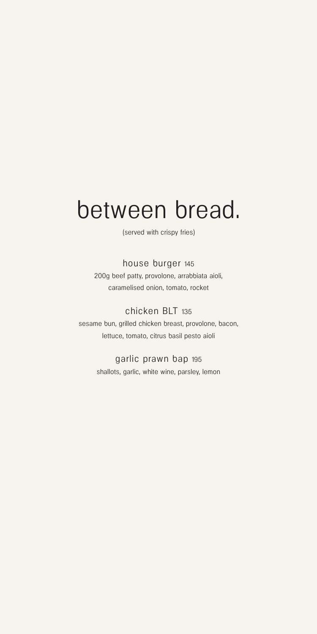## between bread.

(served with crispy fries)

#### house burger 145

200g beef patty, provolone, arrabbiata aioli, caramelised onion, tomato, rocket

#### chicken BLT 135

sesame bun, grilled chicken breast, provolone, bacon, lettuce, tomato, citrus basil pesto aioli

#### garlic prawn bap 195

shallots, garlic, white wine, parsley, lemon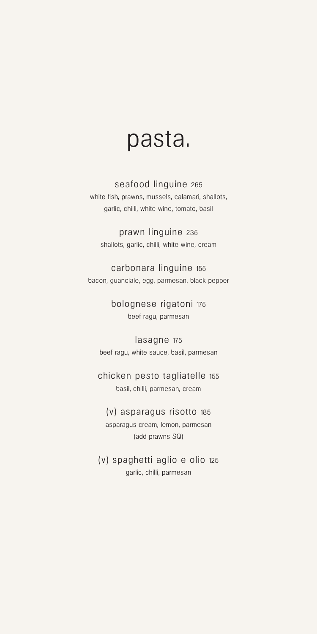### pasta.

#### seafood linguine 265

white fish, prawns, mussels, calamari, shallots, garlic, chilli, white wine, tomato, basil

prawn linguine 235 shallots, garlic, chilli, white wine, cream

carbonara linguine 155 bacon, guanciale, egg, parmesan, black pepper

> bolognese rigatoni 175 beef ragu, parmesan

lasagne 175 beef ragu, white sauce, basil, parmesan

chicken pesto tagliatelle 155 basil, chilli, parmesan, cream

(v) asparagus risotto 185 asparagus cream, lemon, parmesan (add prawns SQ)

(v) spaghetti aglio e olio 125 garlic, chilli, parmesan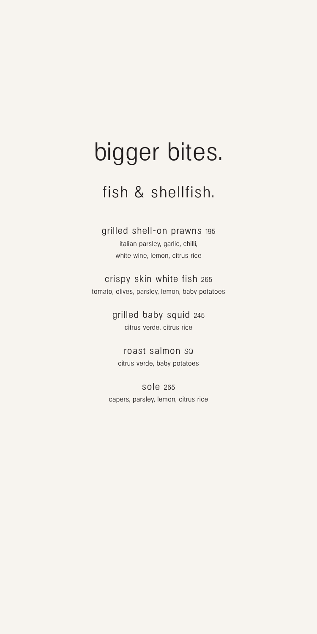# bigger bites.

### fish & shellfish.

grilled shell-on prawns 195 italian parsley, garlic, chilli, white wine, lemon, citrus rice

crispy skin white fish 265 tomato, olives, parsley, lemon, baby potatoes

> grilled baby squid 245 citrus verde, citrus rice

roast salmon SQ citrus verde, baby potatoes

sole 265 capers, parsley, lemon, citrus rice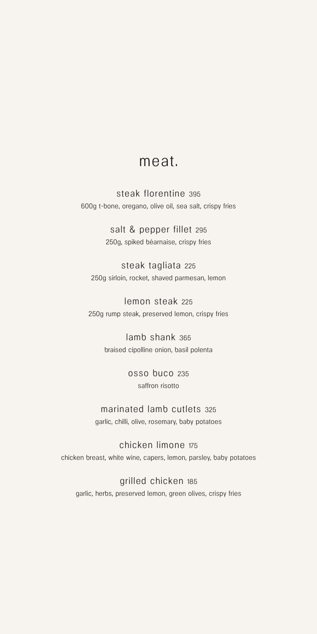### meat.

steak florentine 395 600g t-bone, oregano, olive oil, sea salt, crispy fries

> salt & pepper fillet 295 250g, spiked béarnaise, crispy fries

steak tagliata 225 250g sirloin, rocket, shaved parmesan, lemon

lemon steak 225 250g rump steak, preserved lemon, crispy fries

> lamb shank 365 braised cipolline onion, basil polenta

> > osso buco 235 saffron risotto

marinated lamb cutlets 325 garlic, chilli, olive, rosemary, baby potatoes

chicken limone 175 chicken breast, white wine, capers, lemon, parsley, baby potatoes

grilled chicken 185 garlic, herbs, preserved lemon, green olives, crispy fries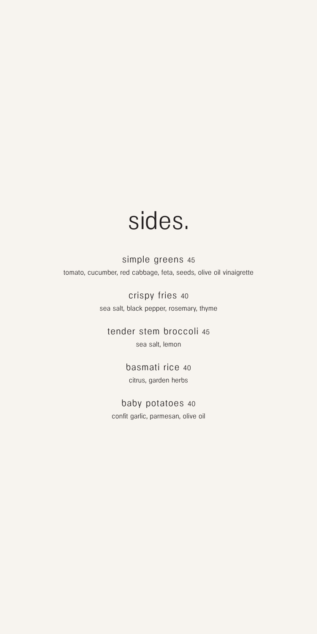## sides.

simple greens 45 tomato, cucumber, red cabbage, feta, seeds, olive oil vinaigrette

> crispy fries 40 sea salt, black pepper, rosemary, thyme

tender stem broccoli 45 sea salt, lemon

> basmati rice 40 citrus, garden herbs

baby potatoes 40 confit garlic, parmesan, olive oil